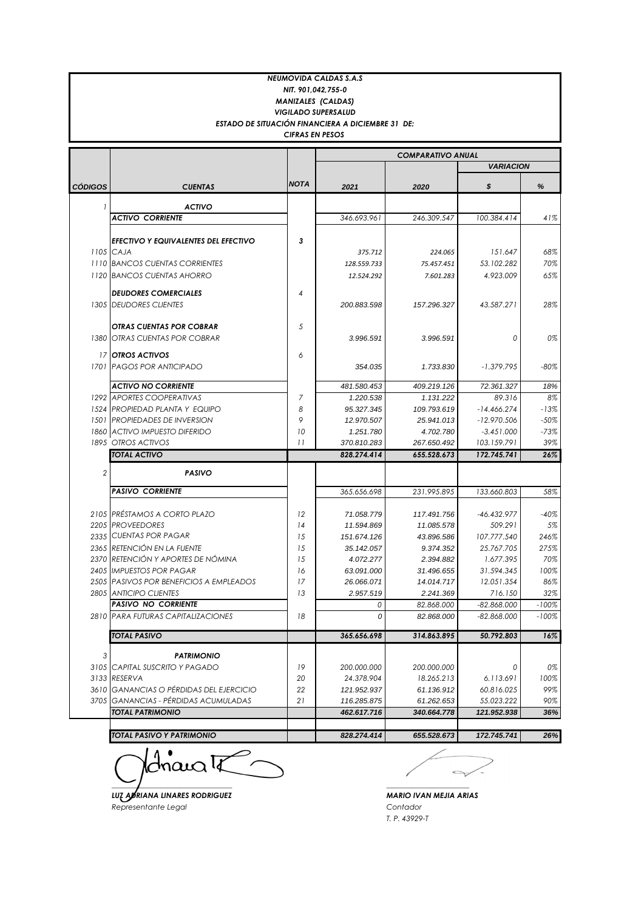| <b>NEUMOVIDA CALDAS S.A.S</b> |                                                                             |             |                          |                          |                             |               |  |  |
|-------------------------------|-----------------------------------------------------------------------------|-------------|--------------------------|--------------------------|-----------------------------|---------------|--|--|
| NIT. 901,042,755-0            |                                                                             |             |                          |                          |                             |               |  |  |
| <b>MANIZALES (CALDAS)</b>     |                                                                             |             |                          |                          |                             |               |  |  |
|                               | <b>VIGILADO SUPERSALUD</b>                                                  |             |                          |                          |                             |               |  |  |
|                               | ESTADO DE SITUACIÓN FINANCIERA A DICIEMBRE 31 DE:<br><b>CIFRAS EN PESOS</b> |             |                          |                          |                             |               |  |  |
|                               |                                                                             |             |                          |                          |                             |               |  |  |
|                               |                                                                             |             | <b>COMPARATIVO ANUAL</b> |                          |                             |               |  |  |
|                               |                                                                             |             |                          |                          | <b>VARIACION</b>            |               |  |  |
| CÓDIGOS                       | <b>CUENTAS</b>                                                              | <b>NOTA</b> | 2021                     | 2020                     | \$                          | %             |  |  |
|                               |                                                                             |             |                          |                          |                             |               |  |  |
|                               | <b>ACTIVO</b><br><b>ACTIVO CORRIENTE</b>                                    |             | 346.693.961              | 246.309.547              | 100.384.414                 | 41%           |  |  |
|                               |                                                                             |             |                          |                          |                             |               |  |  |
|                               | EFECTIVO Y EQUIVALENTES DEL EFECTIVO                                        | 3           |                          |                          |                             |               |  |  |
|                               | 1105 CAJA                                                                   |             | 375.712                  | 224.065                  | 151.647                     | 68%           |  |  |
|                               | 1110 BANCOS CUENTAS CORRIENTES                                              |             | 128.559.733              | 75.457.451               | 53.102.282                  | 70%           |  |  |
|                               | 1120 BANCOS CUENTAS AHORRO                                                  |             | 12.524.292               | 7.601.283                | 4.923.009                   | 65%           |  |  |
|                               | <b>DEUDORES COMERCIALES</b>                                                 | 4           |                          |                          |                             |               |  |  |
|                               | 1305 DEUDORES CLIENTES                                                      |             | 200.883.598              | 157.296.327              | 43.587.271                  | 28%           |  |  |
|                               |                                                                             |             |                          |                          |                             |               |  |  |
|                               | <b>OTRAS CUENTAS POR COBRAR</b>                                             | 5           |                          |                          |                             |               |  |  |
|                               | 1380 OTRAS CUENTAS POR COBRAR                                               |             | 3.996.591                | 3.996.591                | 0                           | 0%            |  |  |
|                               | 17 OTROS ACTIVOS                                                            | 6           |                          |                          |                             |               |  |  |
|                               | 1701 PAGOS POR ANTICIPADO                                                   |             | 354.035                  | 1.733.830                | $-1.379.795$                | $-80\%$       |  |  |
|                               |                                                                             |             |                          |                          |                             |               |  |  |
|                               | <b>ACTIVO NO CORRIENTE</b>                                                  |             | 481.580.453              | 409.219.126              | 72.361.327                  | 18%           |  |  |
|                               | 1292 APORTES COOPERATIVAS                                                   | 7           | 1.220.538                | 1.131.222                | 89.316                      | 8%            |  |  |
|                               | 1524 PROPIEDAD PLANTA Y EQUIPO                                              | 8           | 95.327.345               | 109.793.619              | $-14.466.274$               | $-13%$        |  |  |
|                               | 1501 PROPIEDADES DE INVERSION                                               | 9           | 12.970.507               | 25.941.013               | $-12.970.506$               | $-50%$        |  |  |
|                               | 1860 ACTIVO IMPUESTO DIFERIDO<br>1895 OTROS ACTIVOS                         | 10<br>11    | 1.251.780<br>370.810.283 | 4.702.780<br>267.650.492 | $-3.451.000$<br>103.159.791 | $-73%$<br>39% |  |  |
|                               | <b>TOTAL ACTIVO</b>                                                         |             | 828.274.414              | 655.528.673              | 172.745.741                 | 26%           |  |  |
|                               |                                                                             |             |                          |                          |                             |               |  |  |
| $\overline{2}$                | <b>PASIVO</b>                                                               |             |                          |                          |                             |               |  |  |
|                               | <b>PASIVO CORRIENTE</b>                                                     |             | 365.656.698              | 231.995.895              | 133.660.803                 | 58%           |  |  |
|                               |                                                                             |             |                          |                          |                             |               |  |  |
|                               | 2105 PRÉSTAMOS A CORTO PLAZO                                                | 12          | 71.058.779               | 117.491.756              | $-46.432.977$               | $-40%$        |  |  |
|                               | 2205 PROVEEDORES                                                            | 14          | 11.594.869               | 11.085.578               | 509.291                     | 5%            |  |  |
|                               | 2335 CUENTAS POR PAGAR                                                      | 15          | 151.674.126              | 43.896.586               | 107.777.540                 | 246%          |  |  |
|                               | 2365 RETENCIÓN EN LA FUENTE                                                 | 15          | 35.142.057               | 9.374.352                | 25.767.705                  | 275%          |  |  |
|                               | 2370 RETENCIÓN Y APORTES DE NÓMINA                                          | 15          | 4.072.277                | 2.394.882                | 1.677.395                   | 70%           |  |  |
|                               | 2405 IMPUESTOS POR PAGAR<br>2505 PASIVOS POR BENEFICIOS A EMPLEADOS         | 16<br>17    | 63.091.000<br>26.066.071 | 31.496.655<br>14.014.717 | 31.594.345<br>12.051.354    | 100%<br>86%   |  |  |
|                               | 2805 ANTICIPO CLIENTES                                                      | 13          | 2.957.519                | 2.241.369                | 716.150                     | 32%           |  |  |
|                               | <b>PASIVO NO CORRIENTE</b>                                                  |             | 0                        | 82.868.000               | $-82.868.000$               | $-100%$       |  |  |
|                               | 2810 PARA FUTURAS CAPITALIZACIONES                                          | 18          | 0                        | 82.868.000               | $-82.868.000$               | $-100%$       |  |  |
|                               | TOTAL PASIVO                                                                |             | 365.656.698              | 314.863.895              | 50.792.803                  | 16%           |  |  |
|                               |                                                                             |             |                          |                          |                             |               |  |  |
| 3                             | <b>PATRIMONIO</b>                                                           |             |                          |                          |                             |               |  |  |
|                               | 3105 CAPITAL SUSCRITO Y PAGADO                                              | 19          | 200.000.000              | 200.000.000              | 0                           | 0%            |  |  |
|                               | 3133 RESERVA                                                                | 20          | 24.378.904               | 18.265.213               | 6.113.691                   | 100%          |  |  |
|                               | 3610 GANANCIAS O PÉRDIDAS DEL EJERCICIO                                     | 22          | 121.952.937              | 61.136.912               | 60.816.025                  | 99%           |  |  |
|                               | 3705 GANANCIAS - PÉRDIDAS ACUMULADAS                                        | 21          | 116.285.875              | 61.262.653               | 55.023.222                  | 90%           |  |  |
|                               | <b>TOTAL PATRIMONIO</b>                                                     |             | 462.617.716              | 340.664.778              | 121.952.938                 | 36%           |  |  |
|                               | TOTAL PASIVO Y PATRIMONIO                                                   |             | 828.274.414              | 655.528.673              | 172.745.741                 | 26%           |  |  |
|                               |                                                                             |             |                          |                          |                             |               |  |  |

 $\limsup$ *\_\_\_\_\_\_\_\_\_\_\_\_\_\_\_\_\_\_\_\_\_\_\_\_\_\_\_\_\_\_\_\_ \_\_\_\_\_\_\_\_\_\_\_\_\_\_\_\_\_\_\_\_\_\_*

*LUZ ADRIANA LINARES RODRIGUEZ MARIO IVAN MEJIA ARIAS Representante Legal Contador*

 $\leftarrow$ 

*T. P. 43929-T*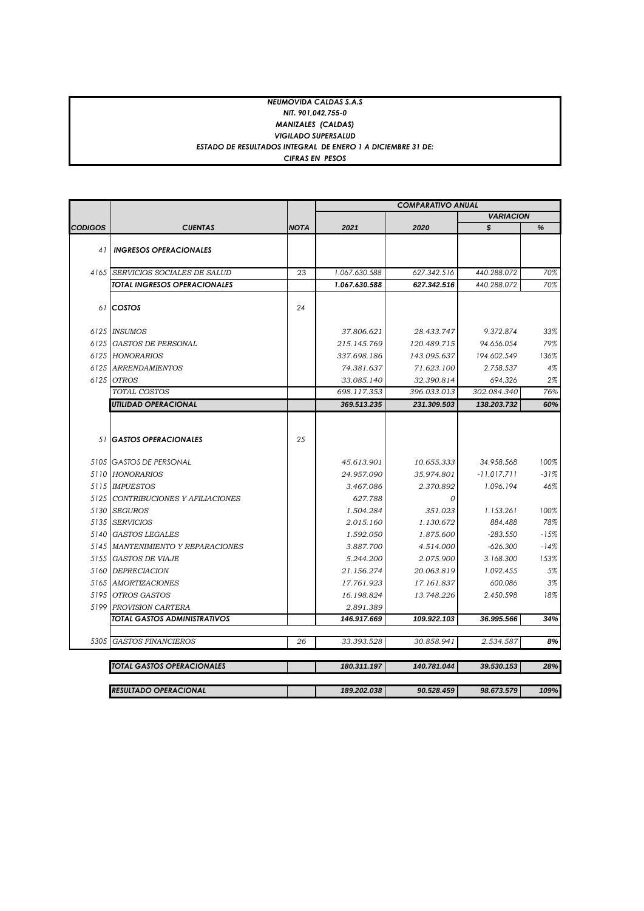## *NEUMOVIDA CALDAS S.A.S NIT. 901,042,755-0 MANIZALES (CALDAS) VIGILADO SUPERSALUD ESTADO DE RESULTADOS INTEGRAL DE ENERO 1 A DICIEMBRE 31 DE: CIFRAS EN PESOS*

|                |                                    |             | <b>COMPARATIVO ANUAL</b> |                |                  |        |
|----------------|------------------------------------|-------------|--------------------------|----------------|------------------|--------|
|                |                                    |             |                          |                | <b>VARIACION</b> |        |
| <b>CODIGOS</b> | <b>CUENTAS</b>                     | <b>NOTA</b> | 2021                     | 2020           | s                | %      |
|                |                                    |             |                          |                |                  |        |
| 41             | <b>INGRESOS OPERACIONALES</b>      |             |                          |                |                  |        |
|                | 4165 SERVICIOS SOCIALES DE SALUD   | 23          | 1.067.630.588            | 627.342.516    | 440.288.072      | 70%    |
|                | TOTAL INGRESOS OPERACIONALES       |             | 1.067.630.588            | 627.342.516    | 440.288.072      | 70%    |
|                |                                    |             |                          |                |                  |        |
|                | 61 COSTOS                          | 24          |                          |                |                  |        |
|                | 6125 INSUMOS                       |             | 37.806.621               | 28.433.747     | 9.372.874        | 33%    |
|                | 6125 GASTOS DE PERSONAL            |             | 215.145.769              | 120.489.715    | 94.656.054       | 79%    |
|                | 6125 HONORARIOS                    |             | 337.698.186              | 143.095.637    | 194.602.549      | 136%   |
|                | 6125 ARRENDAMIENTOS                |             | 74.381.637               | 71.623.100     | 2.758.537        | 4%     |
|                | 6125 OTROS                         |             | 33.085.140               | 32.390.814     | 694.326          | 2%     |
|                | TOTAL COSTOS                       |             | 698.117.353              | 396.033.013    | 302.084.340      | 76%    |
|                | <b>UTILIDAD OPERACIONAL</b>        |             | 369.513.235              | 231.309.503    | 138.203.732      | 60%    |
|                |                                    |             |                          |                |                  |        |
|                | 51 <b>GASTOS OPERACIONALES</b>     | 25          |                          |                |                  |        |
|                | 5105 GASTOS DE PERSONAL            |             | 45.613.901               | 10.655.333     | 34.958.568       | 100%   |
|                | 5110 HONORARIOS                    |             | 24.957.090               | 35.974.801     | $-11.017.711$    | $-31%$ |
|                | 5115 IMPUESTOS                     |             | 3.467.086                | 2.370.892      | 1.096.194        | 46%    |
|                | 5125 CONTRIBUCIONES Y AFILIACIONES |             | 627.788                  | $\overline{O}$ |                  |        |
|                | 5130 SEGUROS                       |             | 1.504.284                | 351.023        | 1.153.261        | 100%   |
|                | 5135 SERVICIOS                     |             | 2.015.160                | 1.130.672      | 884.488          | 78%    |
|                | 5140 GASTOS LEGALES                |             | 1.592.050                | 1.875.600      | $-283.550$       | $-15%$ |
|                | 5145 MANTENIMIENTO Y REPARACIONES  |             | 3.887.700                | 4.514.000      | $-626.300$       | $-14%$ |
|                | 5155 GASTOS DE VIAJE               |             | 5.244.200                | 2.075.900      | 3.168.300        | 153%   |
|                | 5160 DEPRECIACION                  |             | 21.156.274               | 20.063.819     | 1.092.455        | 5%     |
|                | 5165 AMORTIZACIONES                |             | 17.761.923               | 17.161.837     | 600.086          | 3%     |
|                | 5195 OTROS GASTOS                  |             | 16.198.824               | 13.748.226     | 2.450.598        | 18%    |
|                | 5199 PROVISION CARTERA             |             | 2.891.389                |                |                  |        |
|                | TOTAL GASTOS ADMINISTRATIVOS       |             | 146.917.669              | 109.922.103    | 36.995.566       | 34%    |
| 5305           | <b>GASTOS FINANCIEROS</b>          | 26          | 33.393.528               | 30.858.941     | 2.534.587        | 8%     |
|                |                                    |             |                          |                |                  |        |
|                | TOTAL GASTOS OPERACIONALES         |             | 180.311.197              | 140.781.044    | 39.530.153       | 28%    |
|                | <b>RESULTADO OPERACIONAL</b>       |             | 189.202.038              | 90.528.459     | 98.673.579       | 109%   |